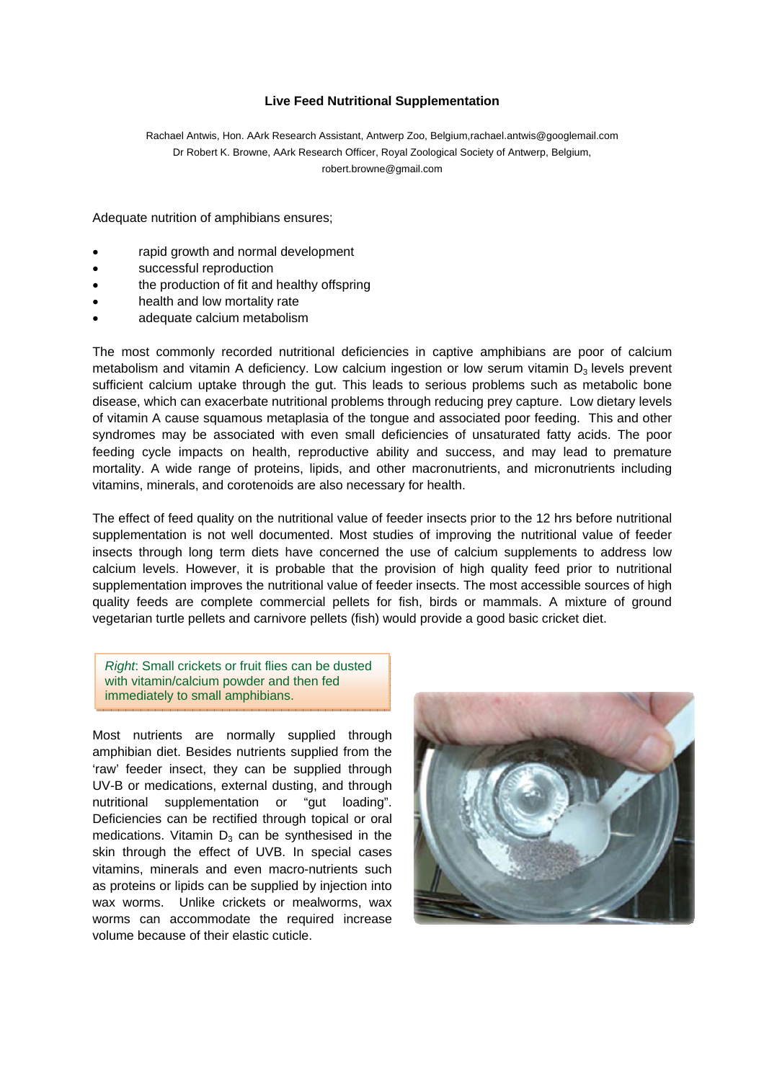## **Live Feed Nutritional Supplementation**

Rachael Antwis, Hon. AArk Research Assistant, Antwerp Zoo, Belgium,rachael.antwis@googlemail.com Dr Robert K. Browne, AArk Research Officer, Royal Zoological Society of Antwerp, Belgium, robert.browne@gmail.com

Adequate nutrition of amphibians ensures;

- rapid growth and normal development
- successful reproduction
- the production of fit and healthy offspring
- health and low mortality rate
- adequate calcium metabolism

The most commonly recorded nutritional deficiencies in captive amphibians are poor of calcium metabolism and vitamin A deficiency. Low calcium ingestion or low serum vitamin  $D_3$  levels prevent sufficient calcium uptake through the gut. This leads to serious problems such as metabolic bone disease, which can exacerbate nutritional problems through reducing prey capture. Low dietary levels of vitamin A cause squamous metaplasia of the tongue and associated poor feeding. This and other syndromes may be associated with even small deficiencies of unsaturated fatty acids. The poor feeding cycle impacts on health, reproductive ability and success, and may lead to premature mortality. A wide range of proteins, lipids, and other macronutrients, and micronutrients including vitamins, minerals, and corotenoids are also necessary for health.

The effect of feed quality on the nutritional value of feeder insects prior to the 12 hrs before nutritional supplementation is not well documented. Most studies of improving the nutritional value of feeder insects through long term diets have concerned the use of calcium supplements to address low calcium levels. However, it is probable that the provision of high quality feed prior to nutritional supplementation improves the nutritional value of feeder insects. The most accessible sources of high quality feeds are complete commercial pellets for fish, birds or mammals. A mixture of ground vegetarian turtle pellets and carnivore pellets (fish) would provide a good basic cricket diet.

*Right*: Small crickets or fruit flies can be dusted with vitamin/calcium powder and then fed immediately to small amphibians.

Most nutrients are normally supplied through amphibian diet. Besides nutrients supplied from the 'raw' feeder insect, they can be supplied through UV-B or medications, external dusting, and through nutritional supplementation or "gut loading". Deficiencies can be rectified through topical or oral medications. Vitamin  $D_3$  can be synthesised in the skin through the effect of UVB. In special cases vitamins, minerals and even macro-nutrients such as proteins or lipids can be supplied by injection into wax worms. Unlike crickets or mealworms, wax worms can accommodate the required increase volume because of their elastic cuticle.

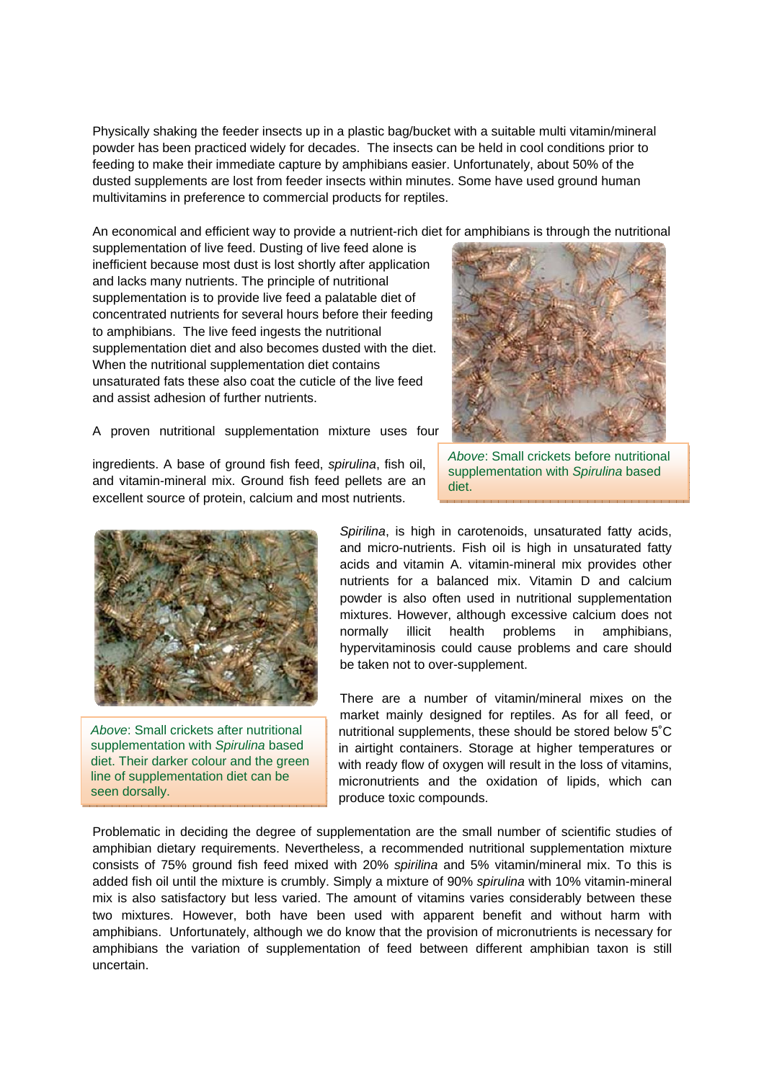Physically shaking the feeder insects up in a plastic bag/bucket with a suitable multi vitamin/mineral powder has been practiced widely for decades. The insects can be held in cool conditions prior to feeding to make their immediate capture by amphibians easier. Unfortunately, about 50% of the dusted supplements are lost from feeder insects within minutes. Some have used ground human multivitamins in preference to commercial products for reptiles.

An economical and efficient way to provide a nutrient-rich diet for amphibians is through the nutritional

supplementation of live feed. Dusting of live feed alone is inefficient because most dust is lost shortly after application and lacks many nutrients. The principle of nutritional supplementation is to provide live feed a palatable diet of concentrated nutrients for several hours before their feeding to amphibians. The live feed ingests the nutritional supplementation diet and also becomes dusted with the diet. When the nutritional supplementation diet contains unsaturated fats these also coat the cuticle of the live feed and assist adhesion of further nutrients.



A proven nutritional supplementation mixture uses four

ingredients. A base of ground fish feed, *spirulina*, fish oil, and vitamin-mineral mix. Ground fish feed pellets are an excellent source of protein, calcium and most nutrients.



*Above*: Small crickets after nutritional supplementation with *Spirulina* based diet. Their darker colour and the green line of supplementation diet can be seen dorsally.

*Above*: Small crickets before nutritional supplementation with *Spirulina* based diet.

*Spirilina*, is high in carotenoids, unsaturated fatty acids, and micro-nutrients. Fish oil is high in unsaturated fatty acids and vitamin A. vitamin-mineral mix provides other nutrients for a balanced mix. Vitamin D and calcium powder is also often used in nutritional supplementation mixtures. However, although excessive calcium does not normally illicit health problems in amphibians, hypervitaminosis could cause problems and care should be taken not to over-supplement.

There are a number of vitamin/mineral mixes on the market mainly designed for reptiles. As for all feed, or nutritional supplements, these should be stored below 5˚C in airtight containers. Storage at higher temperatures or with ready flow of oxygen will result in the loss of vitamins, micronutrients and the oxidation of lipids, which can produce toxic compounds.

Problematic in deciding the degree of supplementation are the small number of scientific studies of amphibian dietary requirements. Nevertheless, a recommended nutritional supplementation mixture consists of 75% ground fish feed mixed with 20% *spirilina* and 5% vitamin/mineral mix. To this is added fish oil until the mixture is crumbly. Simply a mixture of 90% *spirulina* with 10% vitamin-mineral mix is also satisfactory but less varied. The amount of vitamins varies considerably between these two mixtures. However, both have been used with apparent benefit and without harm with amphibians. Unfortunately, although we do know that the provision of micronutrients is necessary for amphibians the variation of supplementation of feed between different amphibian taxon is still uncertain.